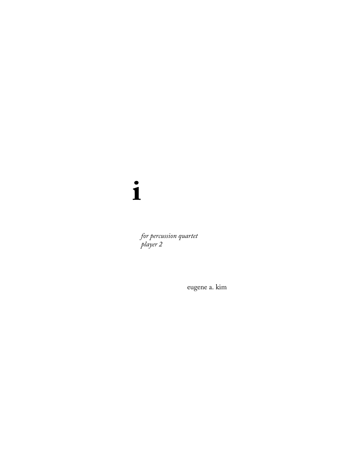$\mathbf{i}$ 

for percussion quartet<br>player 2

eugene a. kim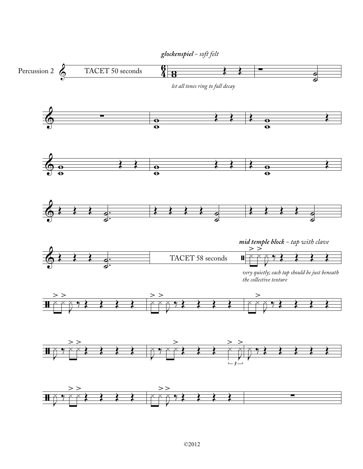

## *glockenspiel - soft felt*